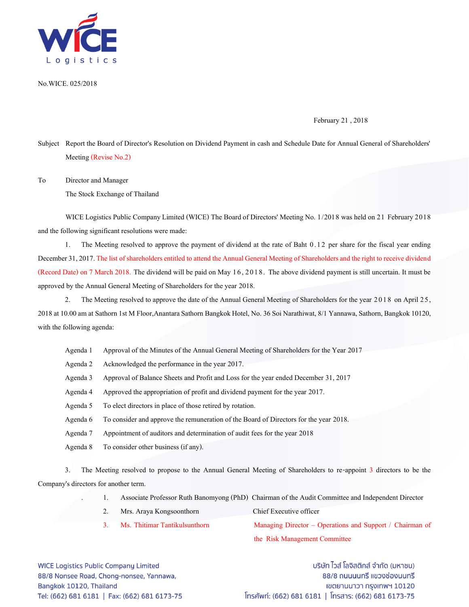

No.WICE. 025/2018

February 21 ,2018

Subject Report the Board of Director's Resolution on Dividend Payment in cash and Schedule Date for Annual General of Shareholders' Meeting (Revise No.2)

To Director and Manager

The Stock Exchange of Thailand

WICE Logistics Public Company Limited (WICE) The Board of Directors' Meeting No. 1/2018 was held on 21 February 2018 and the following significant resolutions were made:

1. The Meeting resolved to approve the payment of dividend at the rate of Baht 0.12 per share for the fiscal year ending December 31, 2017. The list of shareholders entitled to attend the Annual General Meeting of Shareholders and the right to receive dividend (Record Date) on 7 March 2018. The dividend will be paid on May 1 6, 2 0 1 8. The above dividend payment is still uncertain. It must be approved by the Annual General Meeting of Shareholders for the year 2018.

2. The Meeting resolved to approve the date of the Annual General Meeting of Shareholders for the year 2018 on April 25, 2018 at 10.00 am at Sathorn 1st M Floor,Anantara Sathorn Bangkok Hotel, No. 36 Soi Narathiwat, 8/1 Yannawa, Sathorn, Bangkok 10120, with the following agenda:

- Agenda 1 Approval of the Minutes of the Annual General Meeting of Shareholders for the Year 2017
- Agenda 2 Acknowledged the performance in the year 2017.
- Agenda 3 Approval of Balance Sheets and Profit and Loss for the year ended December 31, 2017
- Agenda4 Approved the appropriation of profit and dividend payment for the year 2017.
- Agenda 5 To elect directors in place of those retired by rotation.
- Agenda 6 To consider and approve the remuneration of the Board of Directors for the year 2018.
- Agenda 7 Appointment of auditors and determination of audit fees for the year 2018
- Agenda 8 To consider other business (if any).

3. The Meeting resolved to propose to the Annual General Meeting of Shareholders to re-appoint 3 directors to be the Company's directors for another term.

- . 1. Associate Professor Ruth Banomyong (PhD)Chairman of the Audit Committee and Independent Director
- 2. Mrs. Araya Kongsoonthorn Chief Executive officer
- 3. Ms. Thitimar Tantikulsunthorn Managing Director Operations and Support / Chairman of

the Risk Management Committee

**WICE Logistics Public Company Limited** 88/8 Nonsee Road, Chong-nonsee, Yannawa, Bangkok 10120, Thailand Tel: (662) 681 6181 | Fax: (662) 681 6173-75

บริษัท ไวส์ โลจิสติกส์ จำกัด (มหาชน) 88/8 ถนนนนทรี แขวงช่องนนทรี เขตยานนาวา กรุงเทพฯ 10120 โทรศัพท์: (662) 681 6181 | โทรสาร: (662) 681 6173-75